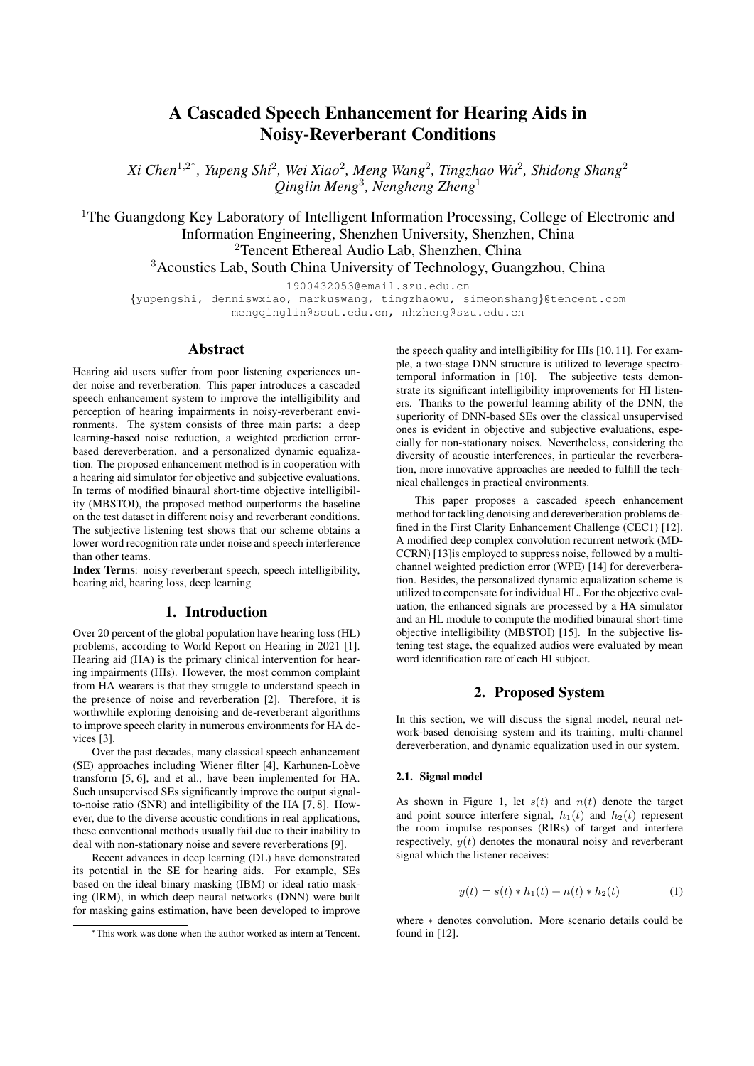# A Cascaded Speech Enhancement for Hearing Aids in Noisy-Reverberant Conditions

*Xi Chen*<sup>1</sup>,<sup>2</sup> ∗ *, Yupeng Shi*<sup>2</sup> *, Wei Xiao*<sup>2</sup> *, Meng Wang*<sup>2</sup> *, Tingzhao Wu*<sup>2</sup> *, Shidong Shang*<sup>2</sup> *Qinglin Meng*<sup>3</sup> *, Nengheng Zheng*<sup>1</sup>

<sup>1</sup>The Guangdong Key Laboratory of Intelligent Information Processing, College of Electronic and Information Engineering, Shenzhen University, Shenzhen, China <sup>2</sup>Tencent Ethereal Audio Lab, Shenzhen, China <sup>3</sup>Acoustics Lab, South China University of Technology, Guangzhou, China

1900432053@email.szu.edu.cn

{yupengshi, denniswxiao, markuswang, tingzhaowu, simeonshang}@tencent.com mengqinglin@scut.edu.cn, nhzheng@szu.edu.cn

### Abstract

Hearing aid users suffer from poor listening experiences under noise and reverberation. This paper introduces a cascaded speech enhancement system to improve the intelligibility and perception of hearing impairments in noisy-reverberant environments. The system consists of three main parts: a deep learning-based noise reduction, a weighted prediction errorbased dereverberation, and a personalized dynamic equalization. The proposed enhancement method is in cooperation with a hearing aid simulator for objective and subjective evaluations. In terms of modified binaural short-time objective intelligibility (MBSTOI), the proposed method outperforms the baseline on the test dataset in different noisy and reverberant conditions. The subjective listening test shows that our scheme obtains a lower word recognition rate under noise and speech interference than other teams.

Index Terms: noisy-reverberant speech, speech intelligibility, hearing aid, hearing loss, deep learning

### 1. Introduction

Over 20 percent of the global population have hearing loss (HL) problems, according to World Report on Hearing in 2021 [1]. Hearing aid (HA) is the primary clinical intervention for hearing impairments (HIs). However, the most common complaint from HA wearers is that they struggle to understand speech in the presence of noise and reverberation [2]. Therefore, it is worthwhile exploring denoising and de-reverberant algorithms to improve speech clarity in numerous environments for HA devices<sup>[3]</sup>.

Over the past decades, many classical speech enhancement (SE) approaches including Wiener filter [4], Karhunen-Loève transform [5, 6], and et al., have been implemented for HA. Such unsupervised SEs significantly improve the output signalto-noise ratio (SNR) and intelligibility of the HA [7, 8]. However, due to the diverse acoustic conditions in real applications, these conventional methods usually fail due to their inability to deal with non-stationary noise and severe reverberations [9].

Recent advances in deep learning (DL) have demonstrated its potential in the SE for hearing aids. For example, SEs based on the ideal binary masking (IBM) or ideal ratio masking (IRM), in which deep neural networks (DNN) were built for masking gains estimation, have been developed to improve the speech quality and intelligibility for HIs [10, 11]. For example, a two-stage DNN structure is utilized to leverage spectrotemporal information in [10]. The subjective tests demonstrate its significant intelligibility improvements for HI listeners. Thanks to the powerful learning ability of the DNN, the superiority of DNN-based SEs over the classical unsupervised ones is evident in objective and subjective evaluations, especially for non-stationary noises. Nevertheless, considering the diversity of acoustic interferences, in particular the reverberation, more innovative approaches are needed to fulfill the technical challenges in practical environments.

This paper proposes a cascaded speech enhancement method for tackling denoising and dereverberation problems defined in the First Clarity Enhancement Challenge (CEC1) [12]. A modified deep complex convolution recurrent network (MD-CCRN) [13]is employed to suppress noise, followed by a multichannel weighted prediction error (WPE) [14] for dereverberation. Besides, the personalized dynamic equalization scheme is utilized to compensate for individual HL. For the objective evaluation, the enhanced signals are processed by a HA simulator and an HL module to compute the modified binaural short-time objective intelligibility (MBSTOI) [15]. In the subjective listening test stage, the equalized audios were evaluated by mean word identification rate of each HI subject.

### 2. Proposed System

In this section, we will discuss the signal model, neural network-based denoising system and its training, multi-channel dereverberation, and dynamic equalization used in our system.

### 2.1. Signal model

As shown in Figure 1, let  $s(t)$  and  $n(t)$  denote the target and point source interfere signal,  $h_1(t)$  and  $h_2(t)$  represent the room impulse responses (RIRs) of target and interfere respectively,  $y(t)$  denotes the monaural noisy and reverberant signal which the listener receives:

$$
y(t) = s(t) * h_1(t) + n(t) * h_2(t)
$$
 (1)

where ∗ denotes convolution. More scenario details could be found in [12].

<sup>∗</sup>This work was done when the author worked as intern at Tencent.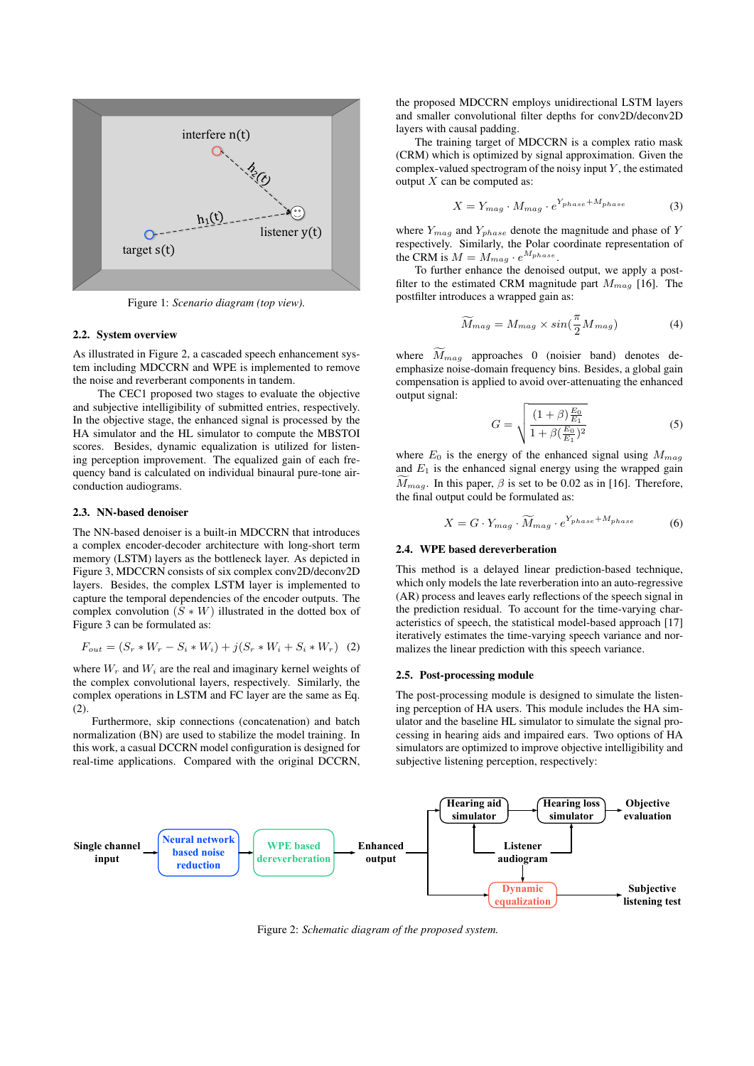

Figure 1: *Scenario diagram (top view).*

#### 2.2. System overview

As illustrated in Figure 2, a cascaded speech enhancement system including MDCCRN and WPE is implemented to remove the noise and reverberant components in tandem.

The CEC1 proposed two stages to evaluate the objective and subjective intelligibility of submitted entries, respectively. In the objective stage, the enhanced signal is processed by the HA simulator and the HL simulator to compute the MBSTOI scores. Besides, dynamic equalization is utilized for listening perception improvement. The equalized gain of each frequency band is calculated on individual binaural pure-tone airconduction audiograms.

#### 2.3. NN-based denoiser

The NN-based denoiser is a built-in MDCCRN that introduces a complex encoder-decoder architecture with long-short term memory (LSTM) layers as the bottleneck layer. As depicted in Figure 3, MDCCRN consists of six complex conv2D/deconv2D layers. Besides, the complex LSTM layer is implemented to capture the temporal dependencies of the encoder outputs. The complex convolution  $(S * W)$  illustrated in the dotted box of Figure 3 can be formulated as:

$$
F_{out} = (S_r * W_r - S_i * W_i) + j(S_r * W_i + S_i * W_r)
$$
 (2)

where  $W_r$  and  $W_i$  are the real and imaginary kernel weights of the complex convolutional layers, respectively. Similarly, the complex operations in LSTM and FC layer are the same as Eq. (2).

Furthermore, skip connections (concatenation) and batch normalization (BN) are used to stabilize the model training. In this work, a casual DCCRN model configuration is designed for real-time applications. Compared with the original DCCRN, the proposed MDCCRN employs unidirectional LSTM layers and smaller convolutional filter depths for conv2D/deconv2D layers with causal padding.

The training target of MDCCRN is a complex ratio mask (CRM) which is optimized by signal approximation. Given the complex-valued spectrogram of the noisy input  $Y$ , the estimated output  $X$  can be computed as:

$$
X = Y_{mag} \cdot M_{mag} \cdot e^{Y_{phase} + M_{phase}} \tag{3}
$$

where  $Y_{mag}$  and  $Y_{phase}$  denote the magnitude and phase of Y respectively. Similarly, the Polar coordinate representation of the CRM is  $M = M_{mag} \cdot e^{M_{phase}}$ .

To further enhance the denoised output, we apply a postfilter to the estimated CRM magnitude part  $M_{mag}$  [16]. The postfilter introduces a wrapped gain as:

$$
\widetilde{M}_{mag} = M_{mag} \times \sin(\frac{\pi}{2} M_{mag})
$$
\n(4)

where  $\widetilde{M}_{mag}$  approaches 0 (noisier band) denotes deemphasize noise-domain frequency bins. Besides, a global gain compensation is applied to avoid over-attenuating the enhanced output signal:

$$
G = \sqrt{\frac{(1+\beta)\frac{E_0}{E_1}}{1+\beta(\frac{E_0}{E_1})^2}}
$$
(5)

where  $E_0$  is the energy of the enhanced signal using  $M_{mag}$ and  $E_1$  is the enhanced signal energy using the wrapped gain  $\widetilde{M}_{mag}$ . In this paper,  $\beta$  is set to be 0.02 as in [16]. Therefore, the final output could be formulated as:

$$
X = G \cdot Y_{mag} \cdot \widetilde{M}_{mag} \cdot e^{Y_{phase} + M_{phase}} \tag{6}
$$

#### 2.4. WPE based dereverberation

This method is a delayed linear prediction-based technique, which only models the late reverberation into an auto-regressive (AR) process and leaves early reflections of the speech signal in the prediction residual. To account for the time-varying characteristics of speech, the statistical model-based approach [17] iteratively estimates the time-varying speech variance and normalizes the linear prediction with this speech variance.

#### 2.5. Post-processing module

The post-processing module is designed to simulate the listening perception of HA users. This module includes the HA simulator and the baseline HL simulator to simulate the signal processing in hearing aids and impaired ears. Two options of HA simulators are optimized to improve objective intelligibility and subjective listening perception, respectively:



Figure 2: *Schematic diagram of the proposed system.*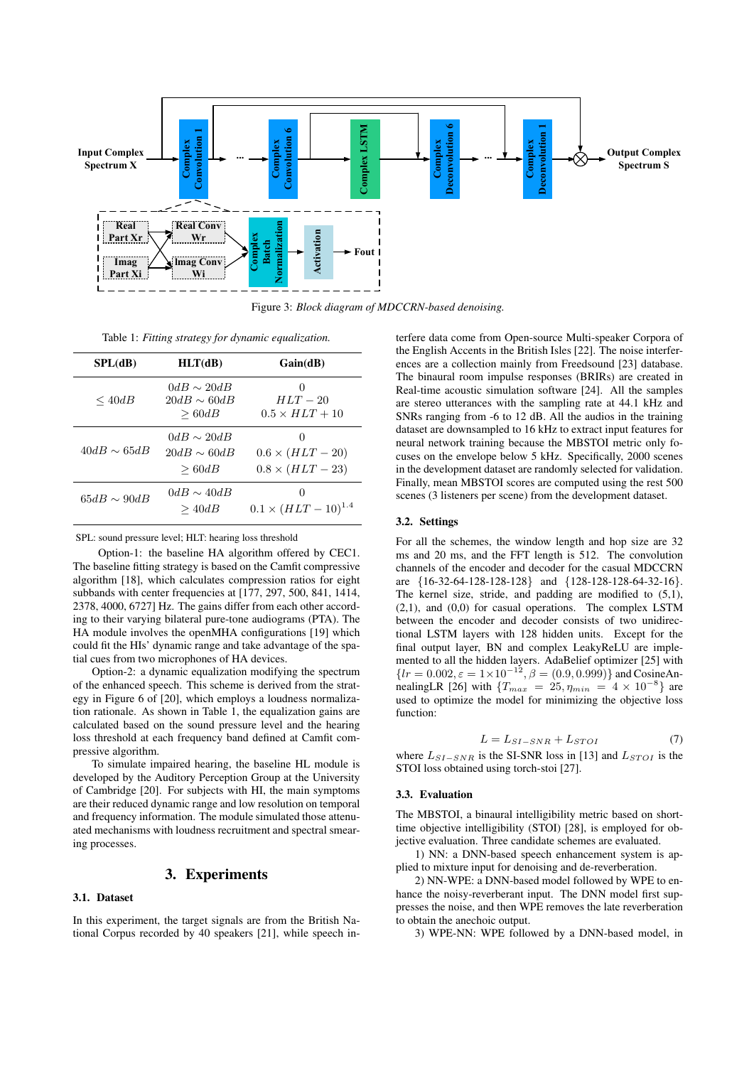

Figure 3: *Block diagram of MDCCRN-based denoising.*

Table 1: *Fitting strategy for dynamic equalization.*

| SPL(dB)          | HLT(dB)                                      | Gain(dB)                                                           |
|------------------|----------------------------------------------|--------------------------------------------------------------------|
| $\leq 40$ dB     | $0dB \sim 20dB$<br>$20dB \sim 60dB$<br>>60dB | $\cup$<br>$HLT - 20$<br>$0.5 \times HLT + 10$                      |
| $40dB \sim 65dB$ | $0dB \sim 20dB$<br>$20dB \sim 60dB$<br>>60dB | $\mathbf{0}$<br>$0.6 \times (HLT - 20)$<br>$0.8 \times (HLT - 23)$ |
| $65dB \sim 90dB$ | $0dB \sim 40dB$<br>>40dB                     | $\mathbf{0}$<br>$0.1 \times (HLT - 10)^{1.4}$                      |

SPL: sound pressure level; HLT: hearing loss threshold

Option-1: the baseline HA algorithm offered by CEC1. The baseline fitting strategy is based on the Camfit compressive algorithm [18], which calculates compression ratios for eight subbands with center frequencies at [177, 297, 500, 841, 1414, 2378, 4000, 6727] Hz. The gains differ from each other according to their varying bilateral pure-tone audiograms (PTA). The HA module involves the openMHA configurations [19] which could fit the HIs' dynamic range and take advantage of the spatial cues from two microphones of HA devices.

Option-2: a dynamic equalization modifying the spectrum of the enhanced speech. This scheme is derived from the strategy in Figure 6 of [20], which employs a loudness normalization rationale. As shown in Table 1, the equalization gains are calculated based on the sound pressure level and the hearing loss threshold at each frequency band defined at Camfit compressive algorithm.

To simulate impaired hearing, the baseline HL module is developed by the Auditory Perception Group at the University of Cambridge [20]. For subjects with HI, the main symptoms are their reduced dynamic range and low resolution on temporal and frequency information. The module simulated those attenuated mechanisms with loudness recruitment and spectral smearing processes.

### 3. Experiments

### 3.1. Dataset

In this experiment, the target signals are from the British National Corpus recorded by 40 speakers [21], while speech in-

terfere data come from Open-source Multi-speaker Corpora of the English Accents in the British Isles [22]. The noise interferences are a collection mainly from Freedsound [23] database. The binaural room impulse responses (BRIRs) are created in Real-time acoustic simulation software [24]. All the samples are stereo utterances with the sampling rate at 44.1 kHz and SNRs ranging from -6 to 12 dB. All the audios in the training dataset are downsampled to 16 kHz to extract input features for neural network training because the MBSTOI metric only focuses on the envelope below 5 kHz. Specifically, 2000 scenes in the development dataset are randomly selected for validation. Finally, mean MBSTOI scores are computed using the rest 500 scenes (3 listeners per scene) from the development dataset.

### 3.2. Settings

For all the schemes, the window length and hop size are 32 ms and 20 ms, and the FFT length is 512. The convolution channels of the encoder and decoder for the casual MDCCRN are {16-32-64-128-128-128} and {128-128-128-64-32-16}. The kernel size, stride, and padding are modified to (5,1), (2,1), and (0,0) for casual operations. The complex LSTM between the encoder and decoder consists of two unidirectional LSTM layers with 128 hidden units. Except for the final output layer, BN and complex LeakyReLU are implemented to all the hidden layers. AdaBelief optimizer [25] with  ${l r = 0.002, \varepsilon = 1 \times 10^{-12}, \beta = (0.9, 0.999) }$  and CosineAnnealingLR [26] with  $\{T_{max} = 25, \eta_{min} = 4 \times 10^{-8}\}$  are used to optimize the model for minimizing the objective loss function:

$$
L = L_{SI-SNR} + L_{STOI} \tag{7}
$$

where  $L_{SI-SNR}$  is the SI-SNR loss in [13] and  $L_{STOI}$  is the STOI loss obtained using torch-stoi [27].

### 3.3. Evaluation

The MBSTOI, a binaural intelligibility metric based on shorttime objective intelligibility (STOI) [28], is employed for objective evaluation. Three candidate schemes are evaluated.

1) NN: a DNN-based speech enhancement system is applied to mixture input for denoising and de-reverberation.

2) NN-WPE: a DNN-based model followed by WPE to enhance the noisy-reverberant input. The DNN model first suppresses the noise, and then WPE removes the late reverberation to obtain the anechoic output.

3) WPE-NN: WPE followed by a DNN-based model, in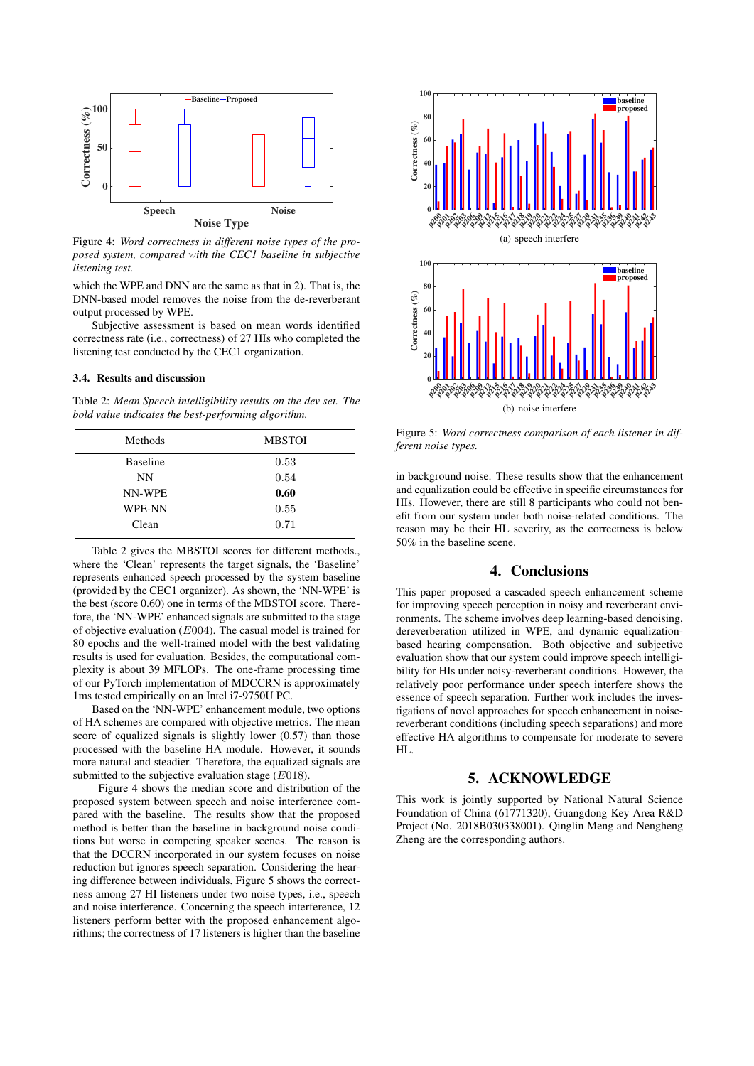

Figure 4: *Word correctness in different noise types of the proposed system, compared with the CEC1 baseline in subjective listening test.*

which the WPE and DNN are the same as that in 2). That is, the DNN-based model removes the noise from the de-reverberant output processed by WPE.

Subjective assessment is based on mean words identified correctness rate (i.e., correctness) of 27 HIs who completed the listening test conducted by the CEC1 organization.

### 3.4. Results and discussion

Table 2: *Mean Speech intelligibility results on the dev set. The bold value indicates the best-performing algorithm.*

| <b>Methods</b>  | <b>MBSTOI</b> |
|-----------------|---------------|
| <b>Baseline</b> | 0.53          |
| NN              | 0.54          |
| NN-WPE          | 0.60          |
| WPE-NN          | 0.55          |
| Clean           | 0.71          |

Table 2 gives the MBSTOI scores for different methods., where the 'Clean' represents the target signals, the 'Baseline' represents enhanced speech processed by the system baseline (provided by the CEC1 organizer). As shown, the 'NN-WPE' is the best (score 0.60) one in terms of the MBSTOI score. Therefore, the 'NN-WPE' enhanced signals are submitted to the stage of objective evaluation (E004). The casual model is trained for 80 epochs and the well-trained model with the best validating results is used for evaluation. Besides, the computational complexity is about 39 MFLOPs. The one-frame processing time of our PyTorch implementation of MDCCRN is approximately 1ms tested empirically on an Intel i7-9750U PC.

Based on the 'NN-WPE' enhancement module, two options of HA schemes are compared with objective metrics. The mean score of equalized signals is slightly lower (0.57) than those processed with the baseline HA module. However, it sounds more natural and steadier. Therefore, the equalized signals are submitted to the subjective evaluation stage (E018).

Figure 4 shows the median score and distribution of the proposed system between speech and noise interference compared with the baseline. The results show that the proposed method is better than the baseline in background noise conditions but worse in competing speaker scenes. The reason is that the DCCRN incorporated in our system focuses on noise reduction but ignores speech separation. Considering the hearing difference between individuals, Figure 5 shows the correctness among 27 HI listeners under two noise types, i.e., speech and noise interference. Concerning the speech interference, 12 listeners perform better with the proposed enhancement algorithms; the correctness of 17 listeners is higher than the baseline





Figure 5: *Word correctness comparison of each listener in different noise types.*

in background noise. These results show that the enhancement and equalization could be effective in specific circumstances for HIs. However, there are still 8 participants who could not benefit from our system under both noise-related conditions. The reason may be their HL severity, as the correctness is below 50% in the baseline scene.

### 4. Conclusions

This paper proposed a cascaded speech enhancement scheme for improving speech perception in noisy and reverberant environments. The scheme involves deep learning-based denoising, dereverberation utilized in WPE, and dynamic equalizationbased hearing compensation. Both objective and subjective evaluation show that our system could improve speech intelligibility for HIs under noisy-reverberant conditions. However, the relatively poor performance under speech interfere shows the essence of speech separation. Further work includes the investigations of novel approaches for speech enhancement in noisereverberant conditions (including speech separations) and more effective HA algorithms to compensate for moderate to severe HL.

## 5. ACKNOWLEDGE

This work is jointly supported by National Natural Science Foundation of China (61771320), Guangdong Key Area R&D Project (No. 2018B030338001). Qinglin Meng and Nengheng Zheng are the corresponding authors.